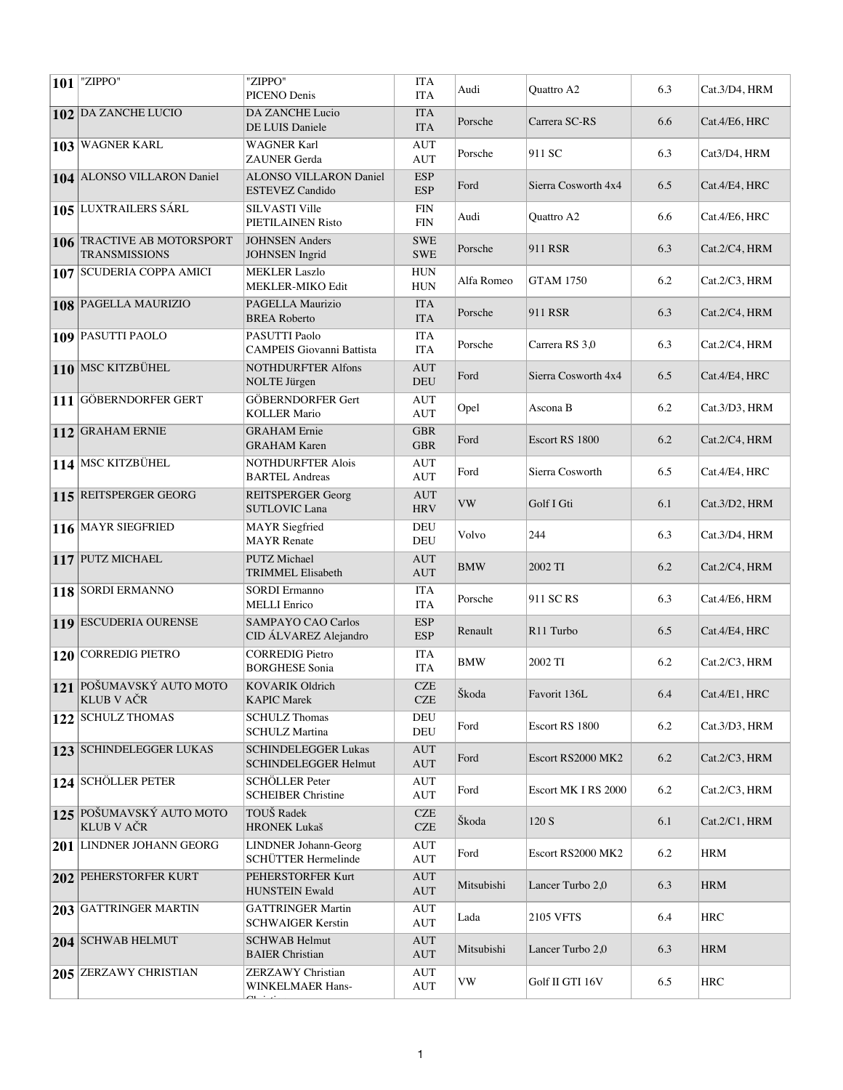| $ 101 $ "ZIPPO"                                    | "ZIPPO"<br>PICENO Denis                              | <b>ITA</b><br><b>ITA</b>                       | Audi       | Quattro A2          | 6.3 | Cat.3/D4, HRM |
|----------------------------------------------------|------------------------------------------------------|------------------------------------------------|------------|---------------------|-----|---------------|
| 102 DA ZANCHE LUCIO                                | <b>DA ZANCHE Lucio</b><br>DE LUIS Daniele            | <b>ITA</b><br><b>ITA</b>                       | Porsche    | Carrera SC-RS       | 6.6 | Cat.4/E6, HRC |
| 103 WAGNER KARL                                    | <b>WAGNER Karl</b><br><b>ZAUNER</b> Gerda            | <b>AUT</b><br><b>AUT</b>                       | Porsche    | 911 SC              | 6.3 | Cat3/D4, HRM  |
| 104 ALONSO VILLARON Daniel                         | ALONSO VILLARON Daniel<br><b>ESTEVEZ Candido</b>     | <b>ESP</b><br><b>ESP</b>                       | Ford       | Sierra Cosworth 4x4 | 6.5 | Cat.4/E4, HRC |
| 105 LUXTRAILERS SÁRL                               | <b>SILVASTI Ville</b><br>PIETILAINEN Risto           | <b>FIN</b><br><b>FIN</b>                       | Audi       | Quattro A2          | 6.6 | Cat.4/E6, HRC |
| 106 TRACTIVE AB MOTORSPORT<br><b>TRANSMISSIONS</b> | <b>JOHNSEN</b> Anders<br><b>JOHNSEN</b> Ingrid       | <b>SWE</b><br><b>SWE</b>                       | Porsche    | 911 RSR             | 6.3 | Cat.2/C4, HRM |
| 107 SCUDERIA COPPA AMICI                           | <b>MEKLER Laszlo</b><br><b>MEKLER-MIKO Edit</b>      | <b>HUN</b><br><b>HUN</b>                       | Alfa Romeo | <b>GTAM 1750</b>    | 6.2 | Cat.2/C3, HRM |
| 108 PAGELLA MAURIZIO                               | PAGELLA Maurizio<br><b>BREA Roberto</b>              | <b>ITA</b><br><b>ITA</b>                       | Porsche    | 911 RSR             | 6.3 | Cat.2/C4, HRM |
| 109 PASUTTI PAOLO                                  | PASUTTI Paolo<br><b>CAMPEIS</b> Giovanni Battista    | <b>ITA</b><br><b>ITA</b>                       | Porsche    | Carrera RS 3,0      | 6.3 | Cat.2/C4, HRM |
| 110 MSC KITZBÜHEL                                  | <b>NOTHDURFTER Alfons</b><br><b>NOLTE</b> Jürgen     | <b>AUT</b><br><b>DEU</b>                       | Ford       | Sierra Cosworth 4x4 | 6.5 | Cat.4/E4, HRC |
| 111 GÖBERNDORFER GERT                              | <b>GÖBERNDORFER Gert</b><br><b>KOLLER Mario</b>      | AUT<br><b>AUT</b>                              | Opel       | Ascona B            | 6.2 | Cat.3/D3, HRM |
| 112 GRAHAM ERNIE                                   | <b>GRAHAM</b> Ernie<br><b>GRAHAM Karen</b>           | <b>GBR</b><br><b>GBR</b>                       | Ford       | Escort RS 1800      | 6.2 | Cat.2/C4, HRM |
| 114 MSC KITZBÜHEL                                  | <b>NOTHDURFTER Alois</b><br><b>BARTEL Andreas</b>    | <b>AUT</b><br><b>AUT</b>                       | Ford       | Sierra Cosworth     | 6.5 | Cat.4/E4, HRC |
| 115 REITSPERGER GEORG                              | <b>REITSPERGER Georg</b><br><b>SUTLOVIC Lana</b>     | <b>AUT</b><br><b>HRV</b>                       | <b>VW</b>  | Golf I Gti          | 6.1 | Cat.3/D2, HRM |
| 116 MAYR SIEGFRIED                                 | <b>MAYR</b> Siegfried<br><b>MAYR</b> Renate          | DEU<br><b>DEU</b>                              | Volvo      | 244                 | 6.3 | Cat.3/D4, HRM |
| 117 PUTZ MICHAEL                                   | <b>PUTZ Michael</b><br>TRIMMEL Elisabeth             | <b>AUT</b><br><b>AUT</b>                       | BMW        | 2002 TI             | 6.2 | Cat.2/C4, HRM |
| 118 SORDI ERMANNO                                  | <b>SORDI</b> Ermanno<br><b>MELLI</b> Enrico          | <b>ITA</b><br><b>ITA</b>                       | Porsche    | 911 SC RS           | 6.3 | Cat.4/E6, HRM |
| 119 ESCUDERIA OURENSE                              | <b>SAMPAYO CAO Carlos</b><br>CID ÁLVAREZ Alejandro   | <b>ESP</b><br><b>ESP</b>                       | Renault    | R11 Turbo           | 6.5 | Cat.4/E4, HRC |
| 120 CORREDIG PIETRO                                | <b>CORREDIG Pietro</b><br><b>BORGHESE Sonia</b>      | <b>ITA</b><br><b>ITA</b>                       | BMW        | 2002 TI             | 6.2 | Cat.2/C3, HRM |
| 121 POŠUMAVSKÝ AUTO MOTO<br><b>KLUB V AČR</b>      | KOVARIK Oldrich<br><b>KAPIC Marek</b>                | $CZE$<br><b>CZE</b>                            | Škoda      | Favorit 136L        | 6.4 | Cat.4/E1, HRC |
| 122 SCHULZ THOMAS                                  | <b>SCHULZ Thomas</b><br><b>SCHULZ Martina</b>        | <b>DEU</b><br>DEU                              | Ford       | Escort RS 1800      | 6.2 | Cat.3/D3, HRM |
| 123 SCHINDELEGGER LUKAS                            | <b>SCHINDELEGGER Lukas</b><br>SCHINDELEGGER Helmut   | <b>AUT</b><br><b>AUT</b>                       | Ford       | Escort RS2000 MK2   | 6.2 | Cat.2/C3, HRM |
| 124 SCHÖLLER PETER                                 | <b>SCHÖLLER</b> Peter<br><b>SCHEIBER Christine</b>   | AUT<br><b>AUT</b>                              | Ford       | Escort MK I RS 2000 | 6.2 | Cat.2/C3, HRM |
| 125 POŠUMAVSKÝ AUTO MOTO<br><b>KLUB V AČR</b>      | TOUŠ Radek<br><b>HRONEK Lukaš</b>                    | <b>CZE</b><br><b>CZE</b>                       | Škoda      | 120 S               | 6.1 | Cat.2/C1, HRM |
| 201 LINDNER JOHANN GEORG                           | <b>LINDNER Johann-Georg</b><br>SCHÜTTER Hermelinde   | AUT<br><b>AUT</b>                              | Ford       | Escort RS2000 MK2   | 6.2 | <b>HRM</b>    |
| <b>202 PEHERSTORFER KURT</b>                       | PEHERSTORFER Kurt<br><b>HUNSTEIN Ewald</b>           | AUT<br><b>AUT</b>                              | Mitsubishi | Lancer Turbo 2,0    | 6.3 | <b>HRM</b>    |
| 203 GATTRINGER MARTIN                              | <b>GATTRINGER Martin</b><br><b>SCHWAIGER Kerstin</b> | AUT<br><b>AUT</b>                              | Lada       | 2105 VFTS           | 6.4 | <b>HRC</b>    |
| 204 SCHWAB HELMUT                                  | <b>SCHWAB Helmut</b><br><b>BAIER</b> Christian       | AUT<br><b>AUT</b>                              | Mitsubishi | Lancer Turbo 2,0    | 6.3 | <b>HRM</b>    |
| 205 ZERZAWY CHRISTIAN                              | <b>ZERZAWY Christian</b><br>WINKELMAER Hans-         | <b>AUT</b><br>$\mathbf{A}\mathbf{U}\mathbf{T}$ | VW         | Golf II GTI 16V     | 6.5 | <b>HRC</b>    |